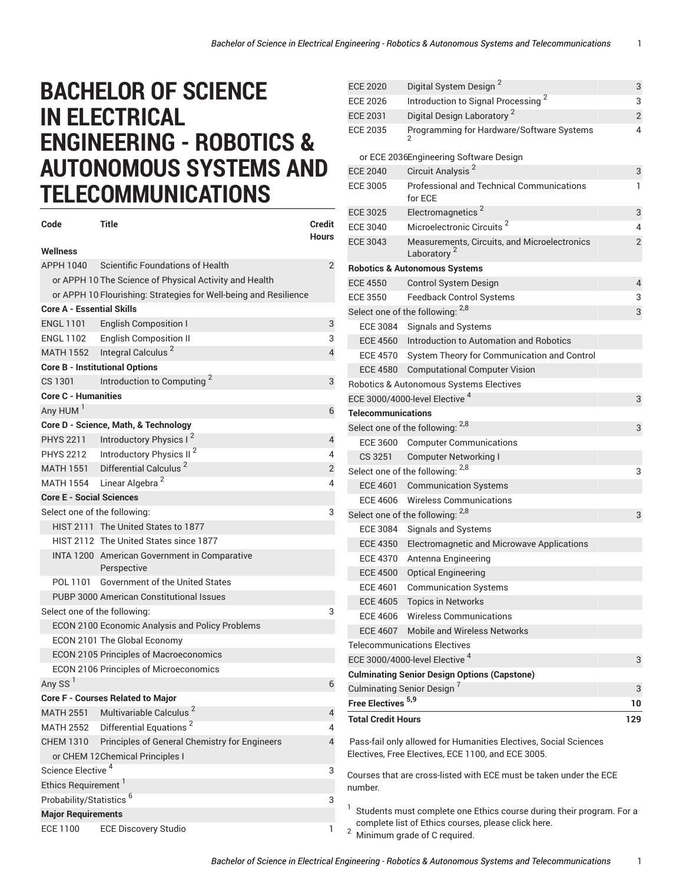## **BACHELOR OF SCIENCE IN ELECTRICAL ENGINEERING - ROBOTICS & AUTONOMOUS SYSTEMS AND TELECOMMUNICATIONS**

| Code                                     | Title                                                                       | Credit         |  |
|------------------------------------------|-----------------------------------------------------------------------------|----------------|--|
| Wellness                                 |                                                                             | <b>Hours</b>   |  |
| APPH 1040                                | Scientific Foundations of Health                                            | $\overline{2}$ |  |
|                                          | or APPH 10 The Science of Physical Activity and Health                      |                |  |
|                                          | or APPH 10 Flourishing: Strategies for Well-being and Resilience            |                |  |
| <b>Core A - Essential Skills</b>         |                                                                             |                |  |
| <b>ENGL 1101</b>                         | <b>English Composition I</b>                                                | 3              |  |
|                                          | ENGL 1102 English Composition II                                            | 3              |  |
|                                          | MATH 1552 Integral Calculus <sup>2</sup>                                    | $\overline{4}$ |  |
|                                          | <b>Core B - Institutional Options</b>                                       |                |  |
| CS 1301                                  | Introduction to Computing <sup>2</sup>                                      | 3              |  |
| <b>Core C - Humanities</b>               |                                                                             |                |  |
| Any HUM <sup>1</sup>                     |                                                                             | 6              |  |
|                                          |                                                                             |                |  |
| PHYS 2211                                | Core D - Science, Math, & Technology<br>Introductory Physics I <sup>2</sup> |                |  |
|                                          | PHYS 2212 Introductory Physics II <sup>2</sup>                              | 4              |  |
|                                          | MATH 1551 Differential Calculus <sup>2</sup>                                | 4              |  |
|                                          |                                                                             | $\overline{2}$ |  |
|                                          | MATH 1554 Linear Algebra <sup>2</sup>                                       | 4              |  |
| <b>Core E - Social Sciences</b>          |                                                                             |                |  |
| Select one of the following:             |                                                                             | 3              |  |
|                                          | HIST 2111 The United States to 1877                                         |                |  |
|                                          | HIST 2112 The United States since 1877                                      |                |  |
|                                          | INTA 1200 American Government in Comparative<br>Perspective                 |                |  |
| POL 1101                                 | <b>Government of the United States</b>                                      |                |  |
|                                          | PUBP 3000 American Constitutional Issues                                    |                |  |
| Select one of the following:             |                                                                             | 3              |  |
|                                          | ECON 2100 Economic Analysis and Policy Problems                             |                |  |
|                                          | ECON 2101 The Global Economy                                                |                |  |
|                                          | <b>ECON 2105 Principles of Macroeconomics</b>                               |                |  |
|                                          | ECON 2106 Principles of Microeconomics                                      |                |  |
| Any SS <sup>I</sup>                      |                                                                             | 6              |  |
|                                          | Core F - Courses Related to Major                                           |                |  |
| MATH 2551                                | Multivariable Calculus <sup>2</sup>                                         | 4              |  |
| <b>MATH 2552</b>                         | Differential Equations <sup>2</sup>                                         | 4              |  |
| <b>CHEM 1310</b>                         | Principles of General Chemistry for Engineers                               | 4              |  |
|                                          | or CHEM 12 Chemical Principles I                                            |                |  |
| Science Elective <sup>4</sup>            |                                                                             | 3              |  |
| Ethics Requirement <sup>1</sup>          |                                                                             |                |  |
| Probability/Statistics <sup>6</sup><br>3 |                                                                             |                |  |
| <b>Major Requirements</b>                |                                                                             |                |  |
| <b>ECE 1100</b>                          | <b>ECE Discovery Studio</b>                                                 | 1              |  |

| <b>ECE 2020</b>               | Digital System Design <sup>2</sup>                                                                                     | 3              |
|-------------------------------|------------------------------------------------------------------------------------------------------------------------|----------------|
| <b>ECE 2026</b>               | Introduction to Signal Processing <sup>2</sup>                                                                         | 3              |
| <b>ECE 2031</b>               | Digital Design Laboratory <sup>2</sup>                                                                                 | $\overline{2}$ |
| <b>ECE 2035</b>               | Programming for Hardware/Software Systems                                                                              | 4              |
|                               |                                                                                                                        |                |
|                               | or ECE 2036Engineering Software Design                                                                                 |                |
| <b>ECE 2040</b>               | Circuit Analysis <sup>2</sup>                                                                                          | 3              |
| <b>ECE 3005</b>               | <b>Professional and Technical Communications</b><br>for ECE                                                            | 1              |
| <b>ECE 3025</b>               | Electromagnetics <sup>2</sup>                                                                                          | 3              |
| <b>ECE 3040</b>               | Microelectronic Circuits <sup>2</sup>                                                                                  | 4              |
| <b>ECE 3043</b>               | Measurements, Circuits, and Microelectronics<br>Laboratory <sup>2</sup>                                                | $\overline{2}$ |
|                               | <b>Robotics &amp; Autonomous Systems</b>                                                                               |                |
| <b>ECE 4550</b>               | Control System Design                                                                                                  | 4              |
| <b>ECE 3550</b>               | <b>Feedback Control Systems</b>                                                                                        | 3              |
|                               | Select one of the following: 2,8                                                                                       | 3              |
| <b>ECE 3084</b>               | <b>Signals and Systems</b>                                                                                             |                |
|                               | ECE 4560 Introduction to Automation and Robotics                                                                       |                |
| ECE 4570                      | System Theory for Communication and Control                                                                            |                |
| <b>ECE 4580</b>               | <b>Computational Computer Vision</b>                                                                                   |                |
|                               | Robotics & Autonomous Systems Electives                                                                                |                |
|                               | ECE 3000/4000-level Elective <sup>4</sup>                                                                              | 3              |
| <b>Telecommunications</b>     |                                                                                                                        |                |
|                               | Select one of the following: 2,8                                                                                       | 3              |
| ECE 3600                      | <b>Computer Communications</b>                                                                                         |                |
| CS 3251                       | <b>Computer Networking I</b>                                                                                           |                |
|                               | Select one of the following: 2,8                                                                                       | 3              |
| ECE 4601                      | <b>Communication Systems</b>                                                                                           |                |
| ECE 4606                      | Wireless Communications                                                                                                |                |
|                               | Select one of the following: 2,8                                                                                       | 3              |
| ECE 3084                      | Signals and Systems                                                                                                    |                |
| ECE 4350                      | Electromagnetic and Microwave Applications                                                                             |                |
| <b>ECE 4370</b>               | Antenna Engineering                                                                                                    |                |
| <b>ECE 4500</b>               | Optical Engineering                                                                                                    |                |
| <b>ECE 4601</b>               | <b>Communication Systems</b>                                                                                           |                |
| <b>ECE 4605</b>               | <b>Topics in Networks</b>                                                                                              |                |
| <b>ECE 4606</b>               | <b>Wireless Communications</b>                                                                                         |                |
| <b>ECE 4607</b>               | <b>Mobile and Wireless Networks</b>                                                                                    |                |
|                               | <b>Telecommunications Electives</b>                                                                                    |                |
|                               | ECE 3000/4000-level Elective <sup>4</sup>                                                                              | 3              |
|                               | <b>Culminating Senior Design Options (Capstone)</b>                                                                    |                |
|                               | Culminating Senior Design <sup>7</sup>                                                                                 | 3              |
| Free Electives <sup>5,9</sup> |                                                                                                                        | 10             |
| <b>Total Credit Hours</b>     |                                                                                                                        | 129            |
|                               | Pass-fail only allowed for Humanities Electives, Social Sciences<br>Electives, Free Electives, ECE 1100, and ECE 3005. |                |
| number.                       | Courses that are cross-listed with ECE must be taken under the ECE                                                     |                |
| 1                             | Students must complete one Ethics course during their program. For a                                                   |                |

*Bachelor of Science in Electrical Engineering - Robotics & Autonomous Systems and Telecommunications* 1

2 Minimum grade of C required.

complete list of Ethics courses, please click [here](https://catalog.gatech.edu/academics/undergraduate/core-curriculum/ethics/).